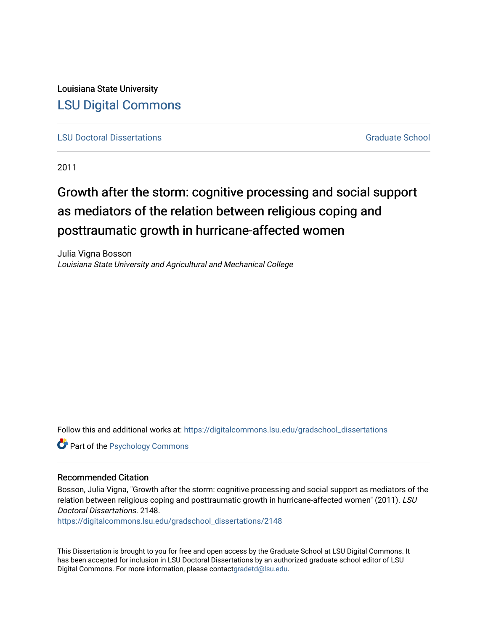Louisiana State University [LSU Digital Commons](https://digitalcommons.lsu.edu/)

**[LSU Doctoral Dissertations](https://digitalcommons.lsu.edu/gradschool_dissertations)** [Graduate School](https://digitalcommons.lsu.edu/gradschool) Control of the Graduate School Control of the Graduate School Control of the Graduate School Control of the Graduate School Control of the Graduate School Control of the Graduat

2011

# Growth after the storm: cognitive processing and social support as mediators of the relation between religious coping and posttraumatic growth in hurricane-affected women

Julia Vigna Bosson Louisiana State University and Agricultural and Mechanical College

Follow this and additional works at: [https://digitalcommons.lsu.edu/gradschool\\_dissertations](https://digitalcommons.lsu.edu/gradschool_dissertations?utm_source=digitalcommons.lsu.edu%2Fgradschool_dissertations%2F2148&utm_medium=PDF&utm_campaign=PDFCoverPages)

**Part of the Psychology Commons** 

#### Recommended Citation

Bosson, Julia Vigna, "Growth after the storm: cognitive processing and social support as mediators of the relation between religious coping and posttraumatic growth in hurricane-affected women" (2011). LSU Doctoral Dissertations. 2148.

[https://digitalcommons.lsu.edu/gradschool\\_dissertations/2148](https://digitalcommons.lsu.edu/gradschool_dissertations/2148?utm_source=digitalcommons.lsu.edu%2Fgradschool_dissertations%2F2148&utm_medium=PDF&utm_campaign=PDFCoverPages)

This Dissertation is brought to you for free and open access by the Graduate School at LSU Digital Commons. It has been accepted for inclusion in LSU Doctoral Dissertations by an authorized graduate school editor of LSU Digital Commons. For more information, please contac[tgradetd@lsu.edu.](mailto:gradetd@lsu.edu)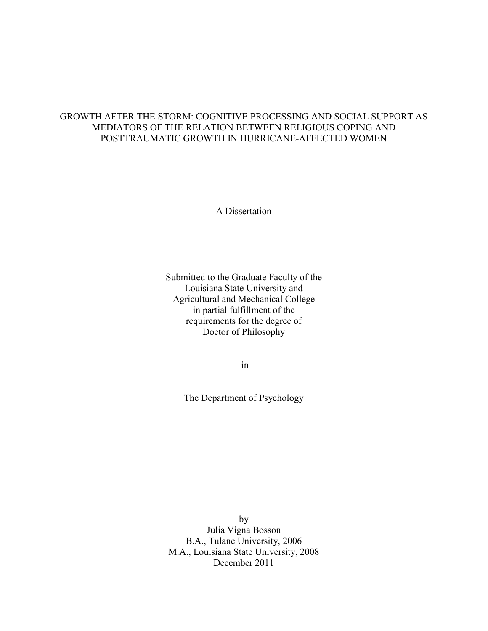### GROWTH AFTER THE STORM: COGNITIVE PROCESSING AND SOCIAL SUPPORT AS MEDIATORS OF THE RELATION BETWEEN RELIGIOUS COPING AND POSTTRAUMATIC GROWTH IN HURRICANE-AFFECTED WOMEN

A Dissertation

Submitted to the Graduate Faculty of the Louisiana State University and Agricultural and Mechanical College in partial fulfillment of the requirements for the degree of Doctor of Philosophy

in

The Department of Psychology

by Julia Vigna Bosson B.A., Tulane University, 2006 M.A., Louisiana State University, 2008 December 2011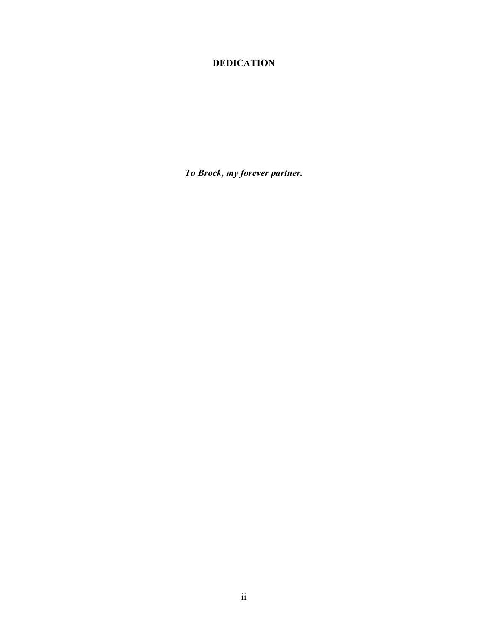## **DEDICATION**

*To Brock, my forever partner.*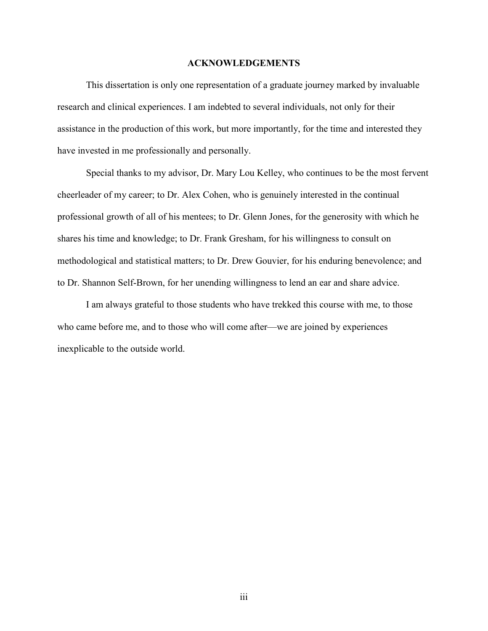#### **ACKNOWLEDGEMENTS**

This dissertation is only one representation of a graduate journey marked by invaluable research and clinical experiences. I am indebted to several individuals, not only for their assistance in the production of this work, but more importantly, for the time and interested they have invested in me professionally and personally.

Special thanks to my advisor, Dr. Mary Lou Kelley, who continues to be the most fervent cheerleader of my career; to Dr. Alex Cohen, who is genuinely interested in the continual professional growth of all of his mentees; to Dr. Glenn Jones, for the generosity with which he shares his time and knowledge; to Dr. Frank Gresham, for his willingness to consult on methodological and statistical matters; to Dr. Drew Gouvier, for his enduring benevolence; and to Dr. Shannon Self-Brown, for her unending willingness to lend an ear and share advice.

I am always grateful to those students who have trekked this course with me, to those who came before me, and to those who will come after—we are joined by experiences inexplicable to the outside world.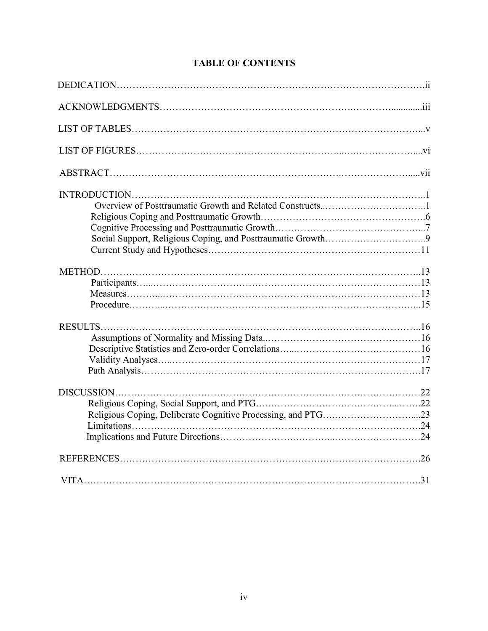| DISCUSSION |  |
|------------|--|
|            |  |
|            |  |

## **TABLE OF CONTENTS**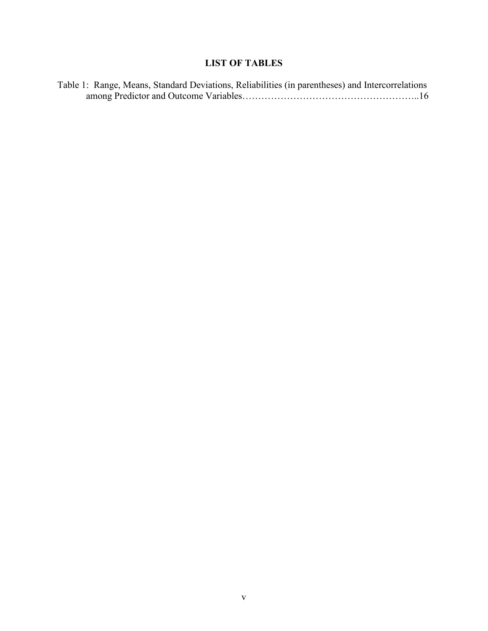## **LIST OF TABLES**

| Table 1: Range, Means, Standard Deviations, Reliabilities (in parentheses) and Intercorrelations |  |  |
|--------------------------------------------------------------------------------------------------|--|--|
|                                                                                                  |  |  |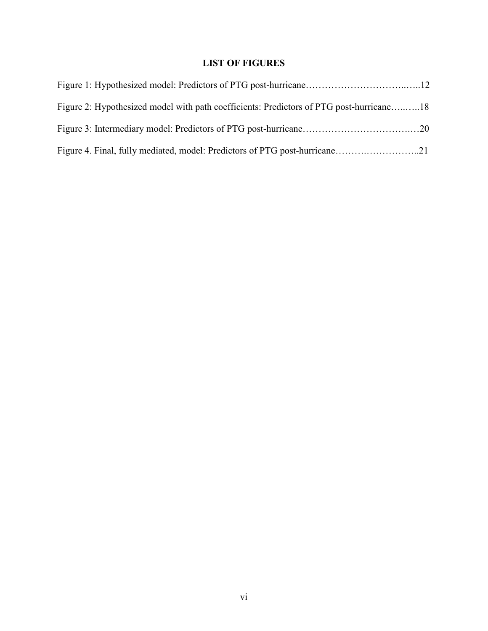## **LIST OF FIGURES**

| Figure 2: Hypothesized model with path coefficients: Predictors of PTG post-hurricane18 |  |
|-----------------------------------------------------------------------------------------|--|
|                                                                                         |  |
|                                                                                         |  |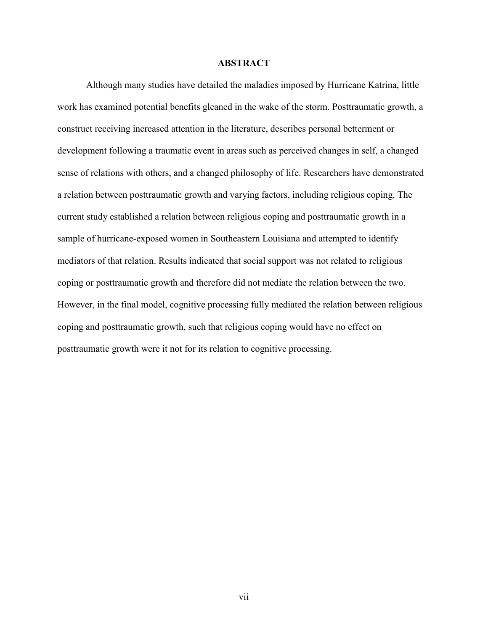#### **ABSTRACT**

Although many studies have detailed the maladies imposed by Hurricane Katrina, little work has examined potential benefits gleaned in the wake of the storm. Posttraumatic growth, a construct receiving increased attention in the literature, describes personal betterment or development following a traumatic event in areas such as perceived changes in self, a changed sense of relations with others, and a changed philosophy of life. Researchers have demonstrated a relation between posttraumatic growth and varying factors, including religious coping. The current study established a relation between religious coping and posttraumatic growth in a sample of hurricane-exposed women in Southeastern Louisiana and attempted to identify mediators of that relation. Results indicated that social support was not related to religious coping or posttraumatic growth and therefore did not mediate the relation between the two. However, in the final model, cognitive processing fully mediated the relation between religious coping and posttraumatic growth, such that religious coping would have no effect on posttraumatic growth were it not for its relation to cognitive processing.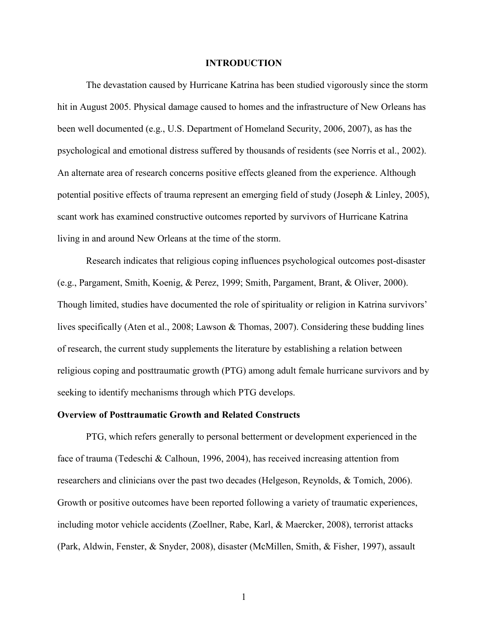#### **INTRODUCTION**

 The devastation caused by Hurricane Katrina has been studied vigorously since the storm hit in August 2005. Physical damage caused to homes and the infrastructure of New Orleans has been well documented (e.g., U.S. Department of Homeland Security, 2006, 2007), as has the psychological and emotional distress suffered by thousands of residents (see Norris et al., 2002). An alternate area of research concerns positive effects gleaned from the experience. Although potential positive effects of trauma represent an emerging field of study (Joseph & Linley, 2005), scant work has examined constructive outcomes reported by survivors of Hurricane Katrina living in and around New Orleans at the time of the storm.

Research indicates that religious coping influences psychological outcomes post-disaster (e.g., Pargament, Smith, Koenig, & Perez, 1999; Smith, Pargament, Brant, & Oliver, 2000). Though limited, studies have documented the role of spirituality or religion in Katrina survivors' lives specifically (Aten et al., 2008; Lawson & Thomas, 2007). Considering these budding lines of research, the current study supplements the literature by establishing a relation between religious coping and posttraumatic growth (PTG) among adult female hurricane survivors and by seeking to identify mechanisms through which PTG develops.

#### **Overview of Posttraumatic Growth and Related Constructs**

 PTG, which refers generally to personal betterment or development experienced in the face of trauma (Tedeschi & Calhoun, 1996, 2004), has received increasing attention from researchers and clinicians over the past two decades (Helgeson, Reynolds, & Tomich, 2006). Growth or positive outcomes have been reported following a variety of traumatic experiences, including motor vehicle accidents (Zoellner, Rabe, Karl, & Maercker, 2008), terrorist attacks (Park, Aldwin, Fenster, & Snyder, 2008), disaster (McMillen, Smith, & Fisher, 1997), assault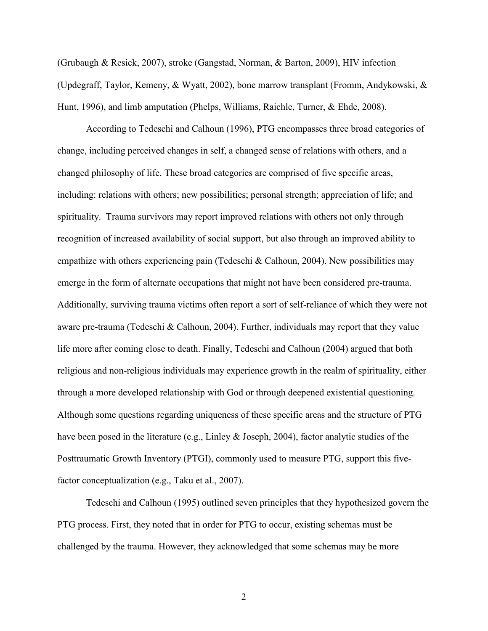(Grubaugh & Resick, 2007), stroke (Gangstad, Norman, & Barton, 2009), HIV infection (Updegraff, Taylor, Kemeny, & Wyatt, 2002), bone marrow transplant (Fromm, Andykowski, & Hunt, 1996), and limb amputation (Phelps, Williams, Raichle, Turner, & Ehde, 2008).

According to Tedeschi and Calhoun (1996), PTG encompasses three broad categories of change, including perceived changes in self, a changed sense of relations with others, and a changed philosophy of life. These broad categories are comprised of five specific areas, including: relations with others; new possibilities; personal strength; appreciation of life; and spirituality. Trauma survivors may report improved relations with others not only through recognition of increased availability of social support, but also through an improved ability to empathize with others experiencing pain (Tedeschi  $&$  Calhoun, 2004). New possibilities may emerge in the form of alternate occupations that might not have been considered pre-trauma. Additionally, surviving trauma victims often report a sort of self-reliance of which they were not aware pre-trauma (Tedeschi & Calhoun, 2004). Further, individuals may report that they value life more after coming close to death. Finally, Tedeschi and Calhoun (2004) argued that both religious and non-religious individuals may experience growth in the realm of spirituality, either through a more developed relationship with God or through deepened existential questioning. Although some questions regarding uniqueness of these specific areas and the structure of PTG have been posed in the literature (e.g., Linley & Joseph, 2004), factor analytic studies of the Posttraumatic Growth Inventory (PTGI), commonly used to measure PTG, support this fivefactor conceptualization (e.g., Taku et al., 2007).

Tedeschi and Calhoun (1995) outlined seven principles that they hypothesized govern the PTG process. First, they noted that in order for PTG to occur, existing schemas must be challenged by the trauma. However, they acknowledged that some schemas may be more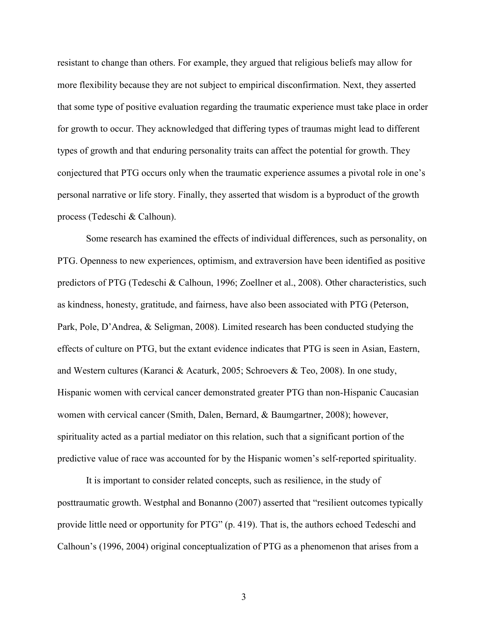resistant to change than others. For example, they argued that religious beliefs may allow for more flexibility because they are not subject to empirical disconfirmation. Next, they asserted that some type of positive evaluation regarding the traumatic experience must take place in order for growth to occur. They acknowledged that differing types of traumas might lead to different types of growth and that enduring personality traits can affect the potential for growth. They conjectured that PTG occurs only when the traumatic experience assumes a pivotal role in one's personal narrative or life story. Finally, they asserted that wisdom is a byproduct of the growth process (Tedeschi & Calhoun).

Some research has examined the effects of individual differences, such as personality, on PTG. Openness to new experiences, optimism, and extraversion have been identified as positive predictors of PTG (Tedeschi & Calhoun, 1996; Zoellner et al., 2008). Other characteristics, such as kindness, honesty, gratitude, and fairness, have also been associated with PTG (Peterson, Park, Pole, D'Andrea, & Seligman, 2008). Limited research has been conducted studying the effects of culture on PTG, but the extant evidence indicates that PTG is seen in Asian, Eastern, and Western cultures (Karanci & Acaturk, 2005; Schroevers & Teo, 2008). In one study, Hispanic women with cervical cancer demonstrated greater PTG than non-Hispanic Caucasian women with cervical cancer (Smith, Dalen, Bernard, & Baumgartner, 2008); however, spirituality acted as a partial mediator on this relation, such that a significant portion of the predictive value of race was accounted for by the Hispanic women's self-reported spirituality.

It is important to consider related concepts, such as resilience, in the study of posttraumatic growth. Westphal and Bonanno (2007) asserted that "resilient outcomes typically provide little need or opportunity for PTG" (p. 419). That is, the authors echoed Tedeschi and Calhoun's (1996, 2004) original conceptualization of PTG as a phenomenon that arises from a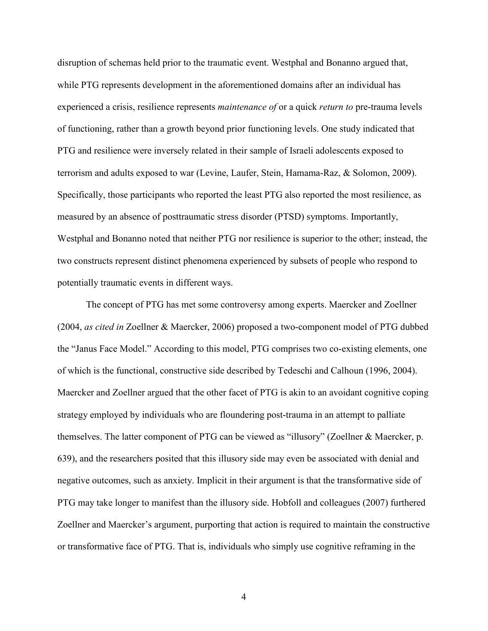disruption of schemas held prior to the traumatic event. Westphal and Bonanno argued that, while PTG represents development in the aforementioned domains after an individual has experienced a crisis, resilience represents *maintenance of* or a quick *return to* pre-trauma levels of functioning, rather than a growth beyond prior functioning levels. One study indicated that PTG and resilience were inversely related in their sample of Israeli adolescents exposed to terrorism and adults exposed to war (Levine, Laufer, Stein, Hamama-Raz, & Solomon, 2009). Specifically, those participants who reported the least PTG also reported the most resilience, as measured by an absence of posttraumatic stress disorder (PTSD) symptoms. Importantly, Westphal and Bonanno noted that neither PTG nor resilience is superior to the other; instead, the two constructs represent distinct phenomena experienced by subsets of people who respond to potentially traumatic events in different ways.

The concept of PTG has met some controversy among experts. Maercker and Zoellner (2004, *as cited in* Zoellner & Maercker, 2006) proposed a two-component model of PTG dubbed the "Janus Face Model." According to this model, PTG comprises two co-existing elements, one of which is the functional, constructive side described by Tedeschi and Calhoun (1996, 2004). Maercker and Zoellner argued that the other facet of PTG is akin to an avoidant cognitive coping strategy employed by individuals who are floundering post-trauma in an attempt to palliate themselves. The latter component of PTG can be viewed as "illusory" (Zoellner & Maercker, p. 639), and the researchers posited that this illusory side may even be associated with denial and negative outcomes, such as anxiety. Implicit in their argument is that the transformative side of PTG may take longer to manifest than the illusory side. Hobfoll and colleagues (2007) furthered Zoellner and Maercker's argument, purporting that action is required to maintain the constructive or transformative face of PTG. That is, individuals who simply use cognitive reframing in the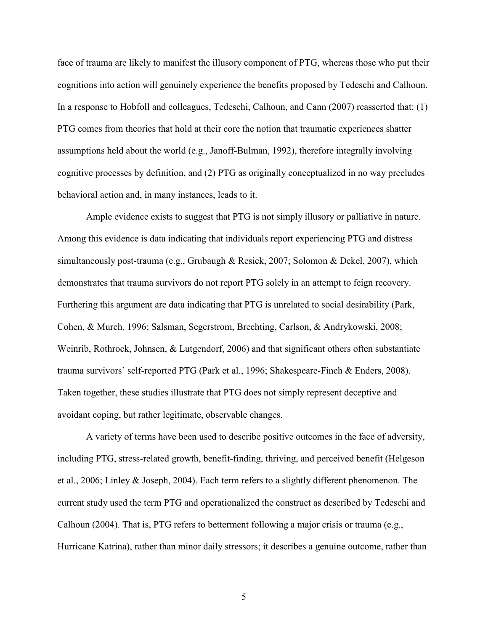face of trauma are likely to manifest the illusory component of PTG, whereas those who put their cognitions into action will genuinely experience the benefits proposed by Tedeschi and Calhoun. In a response to Hobfoll and colleagues, Tedeschi, Calhoun, and Cann (2007) reasserted that: (1) PTG comes from theories that hold at their core the notion that traumatic experiences shatter assumptions held about the world (e.g., Janoff-Bulman, 1992), therefore integrally involving cognitive processes by definition, and (2) PTG as originally conceptualized in no way precludes behavioral action and, in many instances, leads to it.

Ample evidence exists to suggest that PTG is not simply illusory or palliative in nature. Among this evidence is data indicating that individuals report experiencing PTG and distress simultaneously post-trauma (e.g., Grubaugh & Resick, 2007; Solomon & Dekel, 2007), which demonstrates that trauma survivors do not report PTG solely in an attempt to feign recovery. Furthering this argument are data indicating that PTG is unrelated to social desirability (Park, Cohen, & Murch, 1996; Salsman, Segerstrom, Brechting, Carlson, & Andrykowski, 2008; Weinrib, Rothrock, Johnsen, & Lutgendorf, 2006) and that significant others often substantiate trauma survivors' self-reported PTG (Park et al., 1996; Shakespeare-Finch & Enders, 2008). Taken together, these studies illustrate that PTG does not simply represent deceptive and avoidant coping, but rather legitimate, observable changes.

A variety of terms have been used to describe positive outcomes in the face of adversity, including PTG, stress-related growth, benefit-finding, thriving, and perceived benefit (Helgeson et al., 2006; Linley & Joseph, 2004). Each term refers to a slightly different phenomenon. The current study used the term PTG and operationalized the construct as described by Tedeschi and Calhoun (2004). That is, PTG refers to betterment following a major crisis or trauma (e.g., Hurricane Katrina), rather than minor daily stressors; it describes a genuine outcome, rather than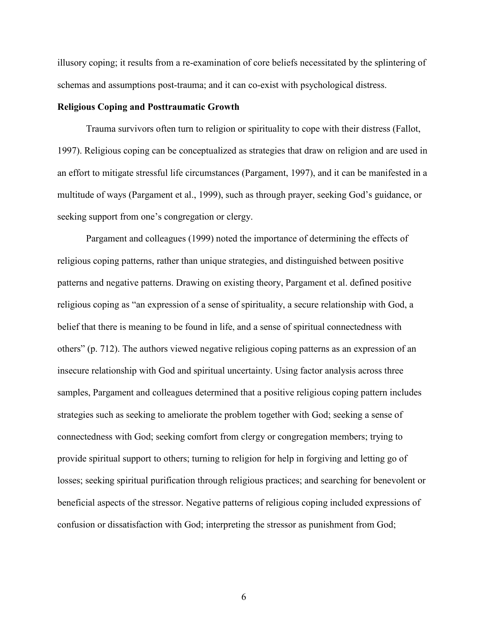illusory coping; it results from a re-examination of core beliefs necessitated by the splintering of schemas and assumptions post-trauma; and it can co-exist with psychological distress.

#### **Religious Coping and Posttraumatic Growth**

 Trauma survivors often turn to religion or spirituality to cope with their distress (Fallot, 1997). Religious coping can be conceptualized as strategies that draw on religion and are used in an effort to mitigate stressful life circumstances (Pargament, 1997), and it can be manifested in a multitude of ways (Pargament et al., 1999), such as through prayer, seeking God's guidance, or seeking support from one's congregation or clergy.

Pargament and colleagues (1999) noted the importance of determining the effects of religious coping patterns, rather than unique strategies, and distinguished between positive patterns and negative patterns. Drawing on existing theory, Pargament et al. defined positive religious coping as "an expression of a sense of spirituality, a secure relationship with God, a belief that there is meaning to be found in life, and a sense of spiritual connectedness with others" (p. 712). The authors viewed negative religious coping patterns as an expression of an insecure relationship with God and spiritual uncertainty. Using factor analysis across three samples, Pargament and colleagues determined that a positive religious coping pattern includes strategies such as seeking to ameliorate the problem together with God; seeking a sense of connectedness with God; seeking comfort from clergy or congregation members; trying to provide spiritual support to others; turning to religion for help in forgiving and letting go of losses; seeking spiritual purification through religious practices; and searching for benevolent or beneficial aspects of the stressor. Negative patterns of religious coping included expressions of confusion or dissatisfaction with God; interpreting the stressor as punishment from God;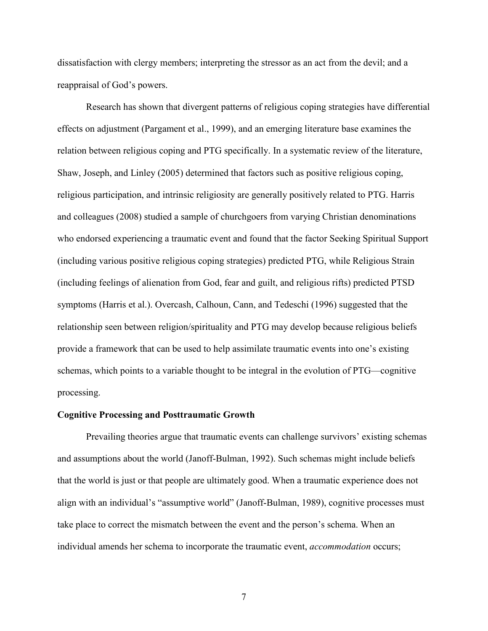dissatisfaction with clergy members; interpreting the stressor as an act from the devil; and a reappraisal of God's powers.

 Research has shown that divergent patterns of religious coping strategies have differential effects on adjustment (Pargament et al., 1999), and an emerging literature base examines the relation between religious coping and PTG specifically. In a systematic review of the literature, Shaw, Joseph, and Linley (2005) determined that factors such as positive religious coping, religious participation, and intrinsic religiosity are generally positively related to PTG. Harris and colleagues (2008) studied a sample of churchgoers from varying Christian denominations who endorsed experiencing a traumatic event and found that the factor Seeking Spiritual Support (including various positive religious coping strategies) predicted PTG, while Religious Strain (including feelings of alienation from God, fear and guilt, and religious rifts) predicted PTSD symptoms (Harris et al.). Overcash, Calhoun, Cann, and Tedeschi (1996) suggested that the relationship seen between religion/spirituality and PTG may develop because religious beliefs provide a framework that can be used to help assimilate traumatic events into one's existing schemas, which points to a variable thought to be integral in the evolution of PTG—cognitive processing.

#### **Cognitive Processing and Posttraumatic Growth**

 Prevailing theories argue that traumatic events can challenge survivors' existing schemas and assumptions about the world (Janoff-Bulman, 1992). Such schemas might include beliefs that the world is just or that people are ultimately good. When a traumatic experience does not align with an individual's "assumptive world" (Janoff-Bulman, 1989), cognitive processes must take place to correct the mismatch between the event and the person's schema. When an individual amends her schema to incorporate the traumatic event, *accommodation* occurs;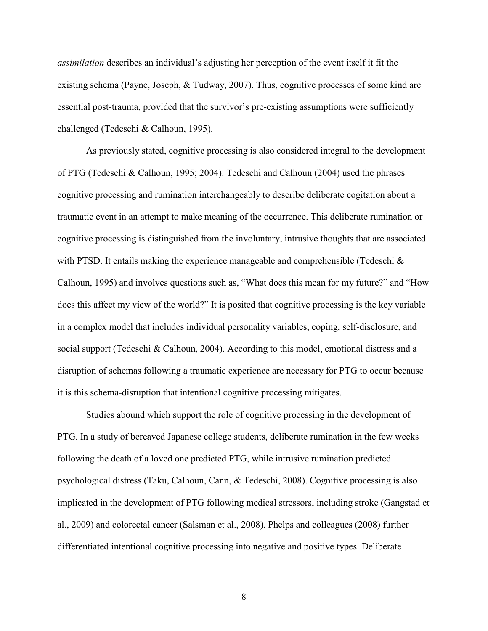*assimilation* describes an individual's adjusting her perception of the event itself it fit the existing schema (Payne, Joseph, & Tudway, 2007). Thus, cognitive processes of some kind are essential post-trauma, provided that the survivor's pre-existing assumptions were sufficiently challenged (Tedeschi & Calhoun, 1995).

As previously stated, cognitive processing is also considered integral to the development of PTG (Tedeschi & Calhoun, 1995; 2004). Tedeschi and Calhoun (2004) used the phrases cognitive processing and rumination interchangeably to describe deliberate cogitation about a traumatic event in an attempt to make meaning of the occurrence. This deliberate rumination or cognitive processing is distinguished from the involuntary, intrusive thoughts that are associated with PTSD. It entails making the experience manageable and comprehensible (Tedeschi  $\&$ Calhoun, 1995) and involves questions such as, "What does this mean for my future?" and "How does this affect my view of the world?" It is posited that cognitive processing is the key variable in a complex model that includes individual personality variables, coping, self-disclosure, and social support (Tedeschi & Calhoun, 2004). According to this model, emotional distress and a disruption of schemas following a traumatic experience are necessary for PTG to occur because it is this schema-disruption that intentional cognitive processing mitigates.

Studies abound which support the role of cognitive processing in the development of PTG. In a study of bereaved Japanese college students, deliberate rumination in the few weeks following the death of a loved one predicted PTG, while intrusive rumination predicted psychological distress (Taku, Calhoun, Cann, & Tedeschi, 2008). Cognitive processing is also implicated in the development of PTG following medical stressors, including stroke (Gangstad et al., 2009) and colorectal cancer (Salsman et al., 2008). Phelps and colleagues (2008) further differentiated intentional cognitive processing into negative and positive types. Deliberate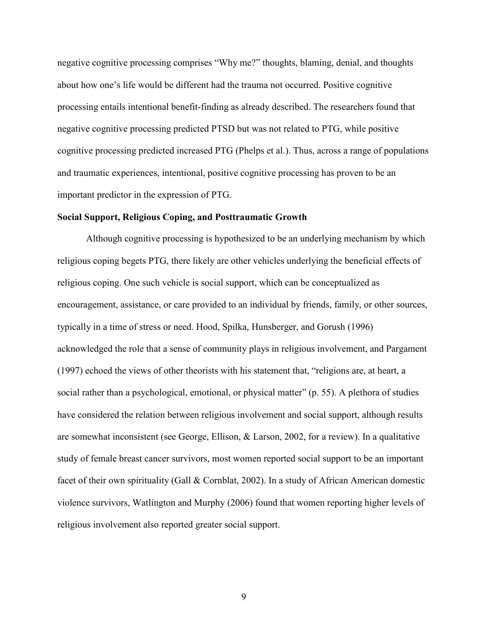negative cognitive processing comprises "Why me?" thoughts, blaming, denial, and thoughts about how one's life would be different had the trauma not occurred. Positive cognitive processing entails intentional benefit-finding as already described. The researchers found that negative cognitive processing predicted PTSD but was not related to PTG, while positive cognitive processing predicted increased PTG (Phelps et al.). Thus, across a range of populations and traumatic experiences, intentional, positive cognitive processing has proven to be an important predictor in the expression of PTG.

#### **Social Support, Religious Coping, and Posttraumatic Growth**

 Although cognitive processing is hypothesized to be an underlying mechanism by which religious coping begets PTG, there likely are other vehicles underlying the beneficial effects of religious coping. One such vehicle is social support, which can be conceptualized as encouragement, assistance, or care provided to an individual by friends, family, or other sources, typically in a time of stress or need. Hood, Spilka, Hunsberger, and Gorush (1996) acknowledged the role that a sense of community plays in religious involvement, and Pargament (1997) echoed the views of other theorists with his statement that, "religions are, at heart, a social rather than a psychological, emotional, or physical matter" (p. 55). A plethora of studies have considered the relation between religious involvement and social support, although results are somewhat inconsistent (see George, Ellison, & Larson, 2002, for a review). In a qualitative study of female breast cancer survivors, most women reported social support to be an important facet of their own spirituality (Gall & Cornblat, 2002). In a study of African American domestic violence survivors, Watlington and Murphy (2006) found that women reporting higher levels of religious involvement also reported greater social support.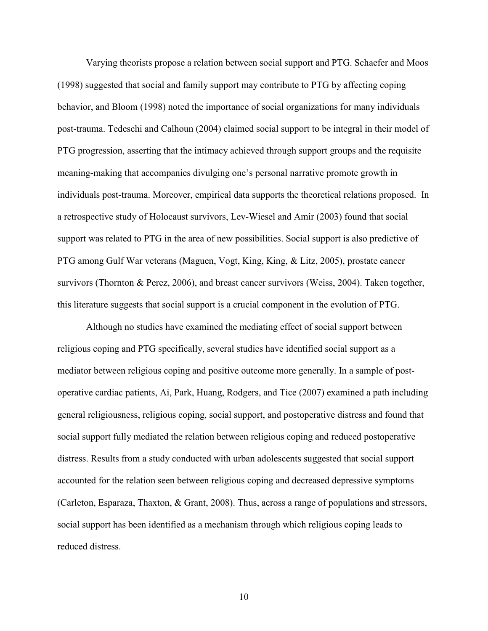Varying theorists propose a relation between social support and PTG. Schaefer and Moos (1998) suggested that social and family support may contribute to PTG by affecting coping behavior, and Bloom (1998) noted the importance of social organizations for many individuals post-trauma. Tedeschi and Calhoun (2004) claimed social support to be integral in their model of PTG progression, asserting that the intimacy achieved through support groups and the requisite meaning-making that accompanies divulging one's personal narrative promote growth in individuals post-trauma. Moreover, empirical data supports the theoretical relations proposed. In a retrospective study of Holocaust survivors, Lev-Wiesel and Amir (2003) found that social support was related to PTG in the area of new possibilities. Social support is also predictive of PTG among Gulf War veterans (Maguen, Vogt, King, King, & Litz, 2005), prostate cancer survivors (Thornton & Perez, 2006), and breast cancer survivors (Weiss, 2004). Taken together, this literature suggests that social support is a crucial component in the evolution of PTG.

 Although no studies have examined the mediating effect of social support between religious coping and PTG specifically, several studies have identified social support as a mediator between religious coping and positive outcome more generally. In a sample of postoperative cardiac patients, Ai, Park, Huang, Rodgers, and Tice (2007) examined a path including general religiousness, religious coping, social support, and postoperative distress and found that social support fully mediated the relation between religious coping and reduced postoperative distress. Results from a study conducted with urban adolescents suggested that social support accounted for the relation seen between religious coping and decreased depressive symptoms (Carleton, Esparaza, Thaxton, & Grant, 2008). Thus, across a range of populations and stressors, social support has been identified as a mechanism through which religious coping leads to reduced distress.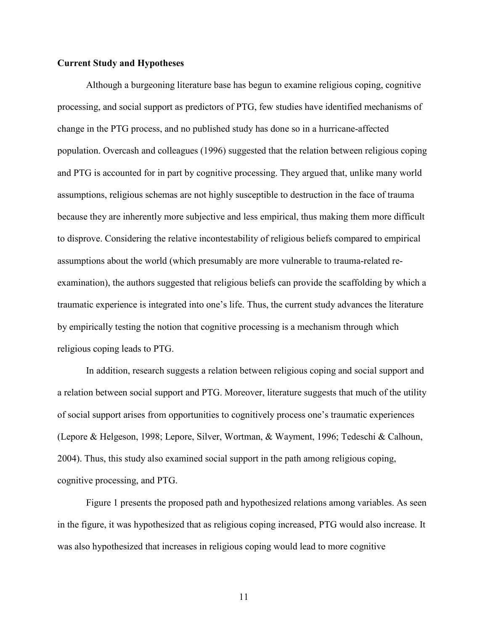#### **Current Study and Hypotheses**

 Although a burgeoning literature base has begun to examine religious coping, cognitive processing, and social support as predictors of PTG, few studies have identified mechanisms of change in the PTG process, and no published study has done so in a hurricane-affected population. Overcash and colleagues (1996) suggested that the relation between religious coping and PTG is accounted for in part by cognitive processing. They argued that, unlike many world assumptions, religious schemas are not highly susceptible to destruction in the face of trauma because they are inherently more subjective and less empirical, thus making them more difficult to disprove. Considering the relative incontestability of religious beliefs compared to empirical assumptions about the world (which presumably are more vulnerable to trauma-related reexamination), the authors suggested that religious beliefs can provide the scaffolding by which a traumatic experience is integrated into one's life. Thus, the current study advances the literature by empirically testing the notion that cognitive processing is a mechanism through which religious coping leads to PTG.

In addition, research suggests a relation between religious coping and social support and a relation between social support and PTG. Moreover, literature suggests that much of the utility of social support arises from opportunities to cognitively process one's traumatic experiences (Lepore & Helgeson, 1998; Lepore, Silver, Wortman, & Wayment, 1996; Tedeschi & Calhoun, 2004). Thus, this study also examined social support in the path among religious coping, cognitive processing, and PTG.

 Figure 1 presents the proposed path and hypothesized relations among variables. As seen in the figure, it was hypothesized that as religious coping increased, PTG would also increase. It was also hypothesized that increases in religious coping would lead to more cognitive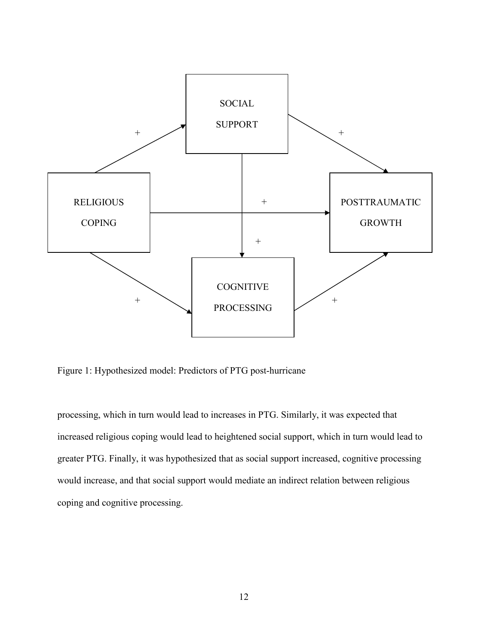

Figure 1: Hypothesized model: Predictors of PTG post-hurricane

processing, which in turn would lead to increases in PTG. Similarly, it was expected that increased religious coping would lead to heightened social support, which in turn would lead to greater PTG. Finally, it was hypothesized that as social support increased, cognitive processing would increase, and that social support would mediate an indirect relation between religious coping and cognitive processing.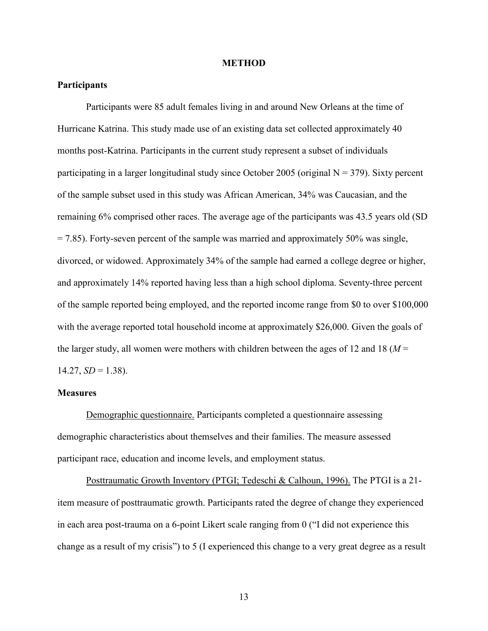#### **METHOD**

#### **Participants**

 Participants were 85 adult females living in and around New Orleans at the time of Hurricane Katrina. This study made use of an existing data set collected approximately 40 months post-Katrina. Participants in the current study represent a subset of individuals participating in a larger longitudinal study since October 2005 (original  $N = 379$ ). Sixty percent of the sample subset used in this study was African American, 34% was Caucasian, and the remaining 6% comprised other races. The average age of the participants was 43.5 years old (SD  $= 7.85$ ). Forty-seven percent of the sample was married and approximately 50% was single, divorced, or widowed. Approximately 34% of the sample had earned a college degree or higher, and approximately 14% reported having less than a high school diploma. Seventy-three percent of the sample reported being employed, and the reported income range from \$0 to over \$100,000 with the average reported total household income at approximately \$26,000. Given the goals of the larger study, all women were mothers with children between the ages of 12 and 18 ( $M =$  $14.27, SD = 1.38$ ).

#### **Measures**

Demographic questionnaire. Participants completed a questionnaire assessing demographic characteristics about themselves and their families. The measure assessed participant race, education and income levels, and employment status.

 Posttraumatic Growth Inventory (PTGI; Tedeschi & Calhoun, 1996). The PTGI is a 21 item measure of posttraumatic growth. Participants rated the degree of change they experienced in each area post-trauma on a 6-point Likert scale ranging from 0 ("I did not experience this change as a result of my crisis") to 5 (I experienced this change to a very great degree as a result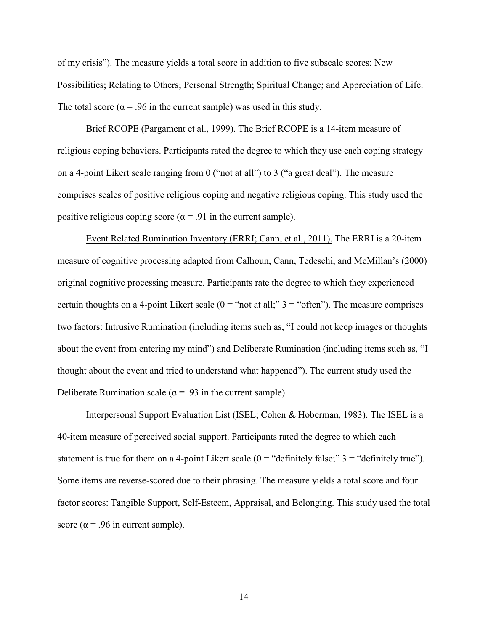of my crisis"). The measure yields a total score in addition to five subscale scores: New Possibilities; Relating to Others; Personal Strength; Spiritual Change; and Appreciation of Life. The total score ( $\alpha$  = .96 in the current sample) was used in this study.

Brief RCOPE (Pargament et al., 1999). The Brief RCOPE is a 14-item measure of religious coping behaviors. Participants rated the degree to which they use each coping strategy on a 4-point Likert scale ranging from 0 ("not at all") to 3 ("a great deal"). The measure comprises scales of positive religious coping and negative religious coping. This study used the positive religious coping score ( $\alpha$  = .91 in the current sample).

 Event Related Rumination Inventory (ERRI; Cann, et al., 2011). The ERRI is a 20-item measure of cognitive processing adapted from Calhoun, Cann, Tedeschi, and McMillan's (2000) original cognitive processing measure. Participants rate the degree to which they experienced certain thoughts on a 4-point Likert scale ( $0 =$  "not at all;"  $3 =$  "often"). The measure comprises two factors: Intrusive Rumination (including items such as, "I could not keep images or thoughts about the event from entering my mind") and Deliberate Rumination (including items such as, "I thought about the event and tried to understand what happened"). The current study used the Deliberate Rumination scale ( $\alpha$  = .93 in the current sample).

Interpersonal Support Evaluation List (ISEL; Cohen & Hoberman, 1983). The ISEL is a 40-item measure of perceived social support. Participants rated the degree to which each statement is true for them on a 4-point Likert scale  $(0 = "definitely false;" 3 = "definitely true").$ Some items are reverse-scored due to their phrasing. The measure yields a total score and four factor scores: Tangible Support, Self-Esteem, Appraisal, and Belonging. This study used the total score ( $\alpha$  = .96 in current sample).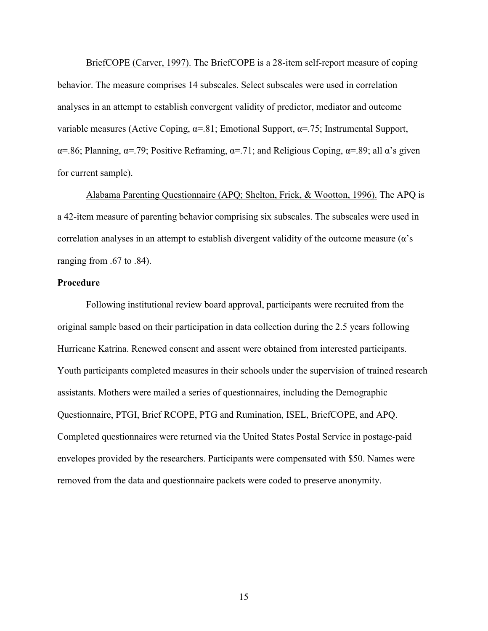BriefCOPE (Carver, 1997). The BriefCOPE is a 28-item self-report measure of coping behavior. The measure comprises 14 subscales. Select subscales were used in correlation analyses in an attempt to establish convergent validity of predictor, mediator and outcome variable measures (Active Coping, α=.81; Emotional Support, α=.75; Instrumental Support,  $\alpha$ =.86; Planning,  $\alpha$ =.79; Positive Reframing,  $\alpha$ =.71; and Religious Coping,  $\alpha$ =.89; all  $\alpha$ 's given for current sample).

Alabama Parenting Questionnaire (APQ; Shelton, Frick, & Wootton, 1996). The APQ is a 42-item measure of parenting behavior comprising six subscales. The subscales were used in correlation analyses in an attempt to establish divergent validity of the outcome measure  $(\alpha)$ 's ranging from .67 to .84).

#### **Procedure**

 Following institutional review board approval, participants were recruited from the original sample based on their participation in data collection during the 2.5 years following Hurricane Katrina. Renewed consent and assent were obtained from interested participants. Youth participants completed measures in their schools under the supervision of trained research assistants. Mothers were mailed a series of questionnaires, including the Demographic Questionnaire, PTGI, Brief RCOPE, PTG and Rumination, ISEL, BriefCOPE, and APQ. Completed questionnaires were returned via the United States Postal Service in postage-paid envelopes provided by the researchers. Participants were compensated with \$50. Names were removed from the data and questionnaire packets were coded to preserve anonymity.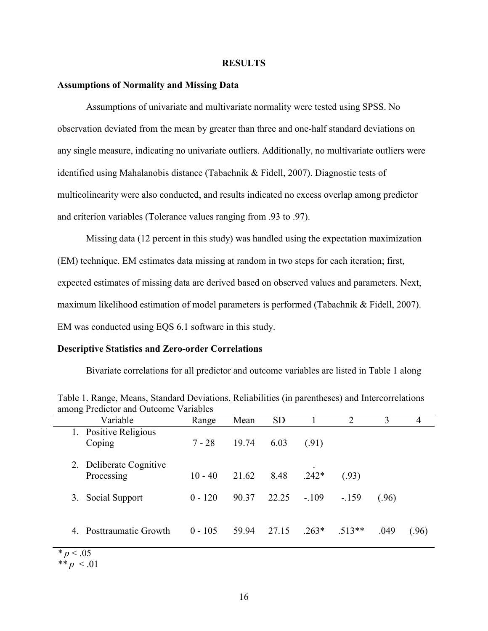#### **RESULTS**

#### **Assumptions of Normality and Missing Data**

 Assumptions of univariate and multivariate normality were tested using SPSS. No observation deviated from the mean by greater than three and one-half standard deviations on any single measure, indicating no univariate outliers. Additionally, no multivariate outliers were identified using Mahalanobis distance (Tabachnik & Fidell, 2007). Diagnostic tests of multicolinearity were also conducted, and results indicated no excess overlap among predictor and criterion variables (Tolerance values ranging from .93 to .97).

Missing data (12 percent in this study) was handled using the expectation maximization (EM) technique. EM estimates data missing at random in two steps for each iteration; first, expected estimates of missing data are derived based on observed values and parameters. Next, maximum likelihood estimation of model parameters is performed (Tabachnik & Fidell, 2007). EM was conducted using EQS 6.1 software in this study.

#### **Descriptive Statistics and Zero-order Correlations**

Bivariate correlations for all predictor and outcome variables are listed in Table 1 along

| Variable                                 | Range     | Mean  | <b>SD</b> |         | 2        | 3     | 4     |
|------------------------------------------|-----------|-------|-----------|---------|----------|-------|-------|
| Positive Religious<br>1.<br>Coping       | $7 - 28$  | 19.74 | 6.03      | (.91)   |          |       |       |
| Deliberate Cognitive<br>2.<br>Processing | $10 - 40$ | 21.62 | 8.48      | $.242*$ | (.93)    |       |       |
| Social Support<br>3.                     | $0 - 120$ | 90.37 | 22.25     | $-.109$ | $-159$   | (.96) |       |
| Posttraumatic Growth<br>4                | $0 - 105$ | 59.94 | 27.15     | $.263*$ | $.513**$ | .049  | (.96) |

Table 1. Range, Means, Standard Deviations, Reliabilities (in parentheses) and Intercorrelations among Predictor and Outcome Variables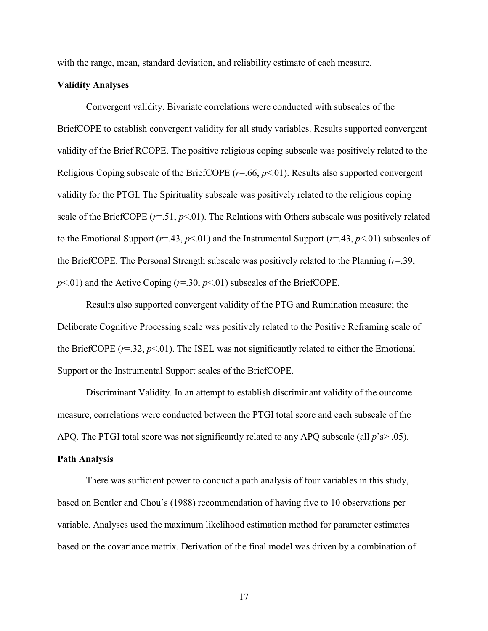with the range, mean, standard deviation, and reliability estimate of each measure.

#### **Validity Analyses**

 Convergent validity. Bivariate correlations were conducted with subscales of the BriefCOPE to establish convergent validity for all study variables. Results supported convergent validity of the Brief RCOPE. The positive religious coping subscale was positively related to the Religious Coping subscale of the BriefCOPE (*r*=.66, *p*<.01). Results also supported convergent validity for the PTGI. The Spirituality subscale was positively related to the religious coping scale of the BriefCOPE (*r*=.51, *p*<.01). The Relations with Others subscale was positively related to the Emotional Support ( $r=43$ ,  $p<01$ ) and the Instrumental Support ( $r=43$ ,  $p<01$ ) subscales of the BriefCOPE. The Personal Strength subscale was positively related to the Planning (*r*=.39,  $p$ <.01) and the Active Coping ( $r$ =.30,  $p$ <.01) subscales of the BriefCOPE.

 Results also supported convergent validity of the PTG and Rumination measure; the Deliberate Cognitive Processing scale was positively related to the Positive Reframing scale of the BriefCOPE  $(r=0.32, p<0.01)$ . The ISEL was not significantly related to either the Emotional Support or the Instrumental Support scales of the BriefCOPE.

 Discriminant Validity. In an attempt to establish discriminant validity of the outcome measure, correlations were conducted between the PTGI total score and each subscale of the APQ. The PTGI total score was not significantly related to any APQ subscale (all  $p$ 's $> 0.05$ ).

#### **Path Analysis**

 There was sufficient power to conduct a path analysis of four variables in this study, based on Bentler and Chou's (1988) recommendation of having five to 10 observations per variable. Analyses used the maximum likelihood estimation method for parameter estimates based on the covariance matrix. Derivation of the final model was driven by a combination of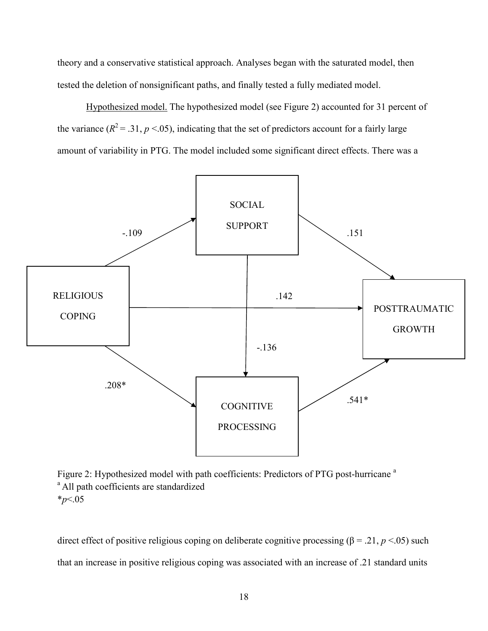theory and a conservative statistical approach. Analyses began with the saturated model, then tested the deletion of nonsignificant paths, and finally tested a fully mediated model.

 Hypothesized model. The hypothesized model (see Figure 2) accounted for 31 percent of the variance ( $R^2 = .31$ ,  $p < .05$ ), indicating that the set of predictors account for a fairly large amount of variability in PTG. The model included some significant direct effects. There was a



Figure 2: Hypothesized model with path coefficients: Predictors of PTG post-hurricane<sup>a</sup> <sup>a</sup> All path coefficients are standardized \**p*<.05

direct effect of positive religious coping on deliberate cognitive processing (β = .21,  $p$  <.05) such that an increase in positive religious coping was associated with an increase of .21 standard units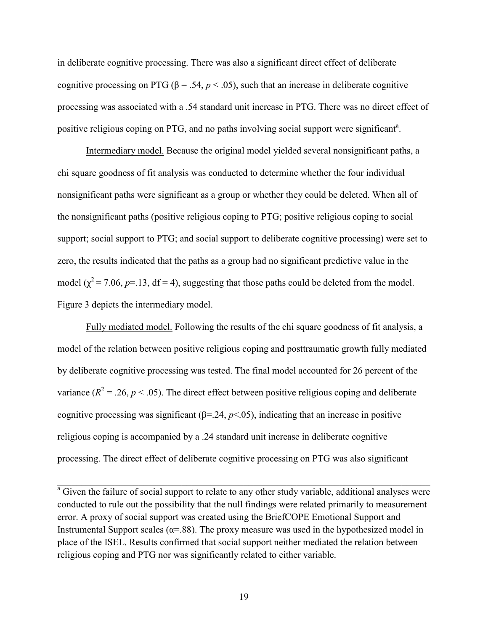in deliberate cognitive processing. There was also a significant direct effect of deliberate cognitive processing on PTG ( $\beta$  = .54,  $p$  < .05), such that an increase in deliberate cognitive processing was associated with a .54 standard unit increase in PTG. There was no direct effect of positive religious coping on PTG, and no paths involving social support were significant<sup>a</sup>.

Intermediary model. Because the original model yielded several nonsignificant paths, a chi square goodness of fit analysis was conducted to determine whether the four individual nonsignificant paths were significant as a group or whether they could be deleted. When all of the nonsignificant paths (positive religious coping to PTG; positive religious coping to social support; social support to PTG; and social support to deliberate cognitive processing) were set to zero, the results indicated that the paths as a group had no significant predictive value in the model ( $\chi^2$  = 7.06, *p*=.13, df = 4), suggesting that those paths could be deleted from the model. Figure 3 depicts the intermediary model.

Fully mediated model. Following the results of the chi square goodness of fit analysis, a model of the relation between positive religious coping and posttraumatic growth fully mediated by deliberate cognitive processing was tested. The final model accounted for 26 percent of the variance ( $R^2$  = .26,  $p$  < .05). The direct effect between positive religious coping and deliberate cognitive processing was significant ( $\beta$ =.24,  $p$ <.05), indicating that an increase in positive religious coping is accompanied by a .24 standard unit increase in deliberate cognitive processing. The direct effect of deliberate cognitive processing on PTG was also significant

<sup>a</sup> Given the failure of social support to relate to any other study variable, additional analyses were conducted to rule out the possibility that the null findings were related primarily to measurement error. A proxy of social support was created using the BriefCOPE Emotional Support and Instrumental Support scales ( $\alpha$ =.88). The proxy measure was used in the hypothesized model in place of the ISEL. Results confirmed that social support neither mediated the relation between religious coping and PTG nor was significantly related to either variable.

\_\_\_\_\_\_\_\_\_\_\_\_\_\_\_\_\_\_\_\_\_\_\_\_\_\_\_\_\_\_\_\_\_\_\_\_\_\_\_\_\_\_\_\_\_\_\_\_\_\_\_\_\_\_\_\_\_\_\_\_\_\_\_\_\_\_\_\_\_\_\_\_\_\_\_\_\_\_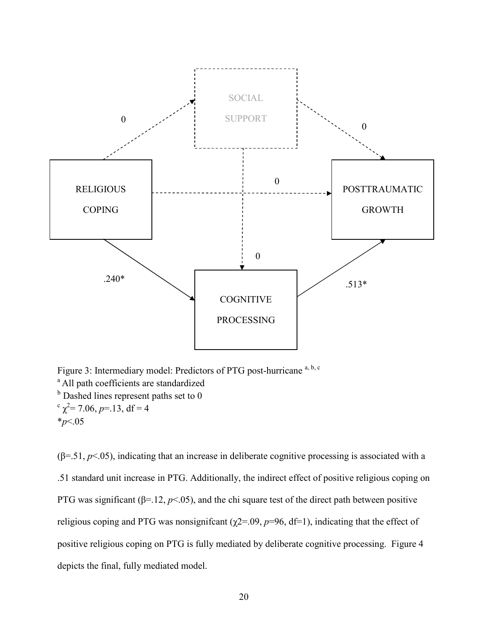

Figure 3: Intermediary model: Predictors of PTG post-hurricane<sup>a, b, c</sup> <sup>a</sup> All path coefficients are standardized <sup>b</sup> Dashed lines represent paths set to 0  $c \gamma^2 = 7.06, p = 13, df = 4$ \**p*<.05

 $(\beta = 51, p < 05)$ , indicating that an increase in deliberate cognitive processing is associated with a .51 standard unit increase in PTG. Additionally, the indirect effect of positive religious coping on PTG was significant ( $\beta$ =.12,  $p$ <.05), and the chi square test of the direct path between positive religious coping and PTG was nonsignificant ( $\chi$ 2=.09,  $p$ =96, df=1), indicating that the effect of positive religious coping on PTG is fully mediated by deliberate cognitive processing. Figure 4 depicts the final, fully mediated model.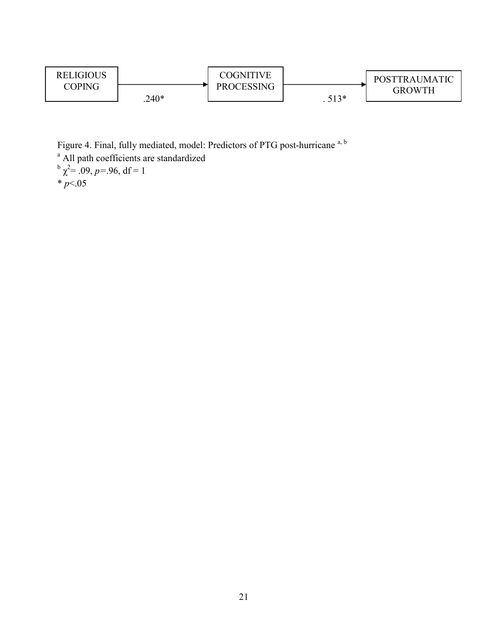

Figure 4. Final, fully mediated, model: Predictors of PTG post-hurricane<sup>a, b</sup> <sup>a</sup> All path coefficients are standardized  $^{b}$   $\chi^{2}$  = .09, *p* = .96, df = 1  $* p < 05$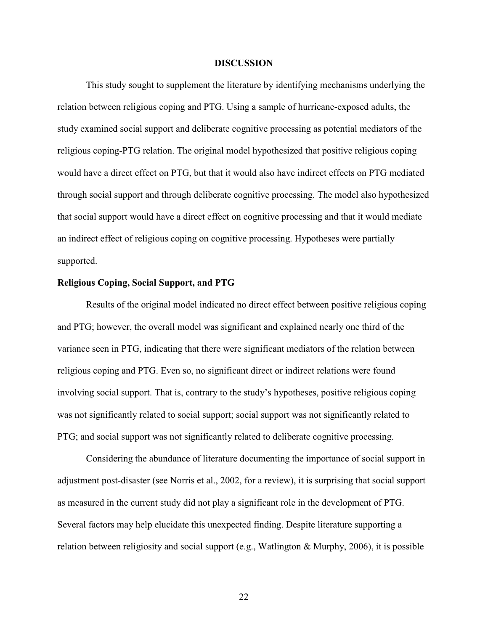#### **DISCUSSION**

This study sought to supplement the literature by identifying mechanisms underlying the relation between religious coping and PTG. Using a sample of hurricane-exposed adults, the study examined social support and deliberate cognitive processing as potential mediators of the religious coping-PTG relation. The original model hypothesized that positive religious coping would have a direct effect on PTG, but that it would also have indirect effects on PTG mediated through social support and through deliberate cognitive processing. The model also hypothesized that social support would have a direct effect on cognitive processing and that it would mediate an indirect effect of religious coping on cognitive processing. Hypotheses were partially supported.

#### **Religious Coping, Social Support, and PTG**

Results of the original model indicated no direct effect between positive religious coping and PTG; however, the overall model was significant and explained nearly one third of the variance seen in PTG, indicating that there were significant mediators of the relation between religious coping and PTG. Even so, no significant direct or indirect relations were found involving social support. That is, contrary to the study's hypotheses, positive religious coping was not significantly related to social support; social support was not significantly related to PTG; and social support was not significantly related to deliberate cognitive processing.

Considering the abundance of literature documenting the importance of social support in adjustment post-disaster (see Norris et al., 2002, for a review), it is surprising that social support as measured in the current study did not play a significant role in the development of PTG. Several factors may help elucidate this unexpected finding. Despite literature supporting a relation between religiosity and social support (e.g., Watlington & Murphy, 2006), it is possible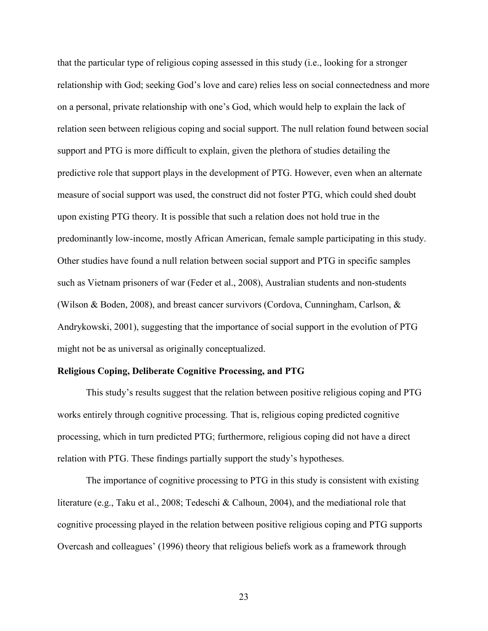that the particular type of religious coping assessed in this study (i.e., looking for a stronger relationship with God; seeking God's love and care) relies less on social connectedness and more on a personal, private relationship with one's God, which would help to explain the lack of relation seen between religious coping and social support. The null relation found between social support and PTG is more difficult to explain, given the plethora of studies detailing the predictive role that support plays in the development of PTG. However, even when an alternate measure of social support was used, the construct did not foster PTG, which could shed doubt upon existing PTG theory. It is possible that such a relation does not hold true in the predominantly low-income, mostly African American, female sample participating in this study. Other studies have found a null relation between social support and PTG in specific samples such as Vietnam prisoners of war (Feder et al., 2008), Australian students and non-students (Wilson & Boden, 2008), and breast cancer survivors (Cordova, Cunningham, Carlson, & Andrykowski, 2001), suggesting that the importance of social support in the evolution of PTG might not be as universal as originally conceptualized.

#### **Religious Coping, Deliberate Cognitive Processing, and PTG**

This study's results suggest that the relation between positive religious coping and PTG works entirely through cognitive processing. That is, religious coping predicted cognitive processing, which in turn predicted PTG; furthermore, religious coping did not have a direct relation with PTG. These findings partially support the study's hypotheses.

The importance of cognitive processing to PTG in this study is consistent with existing literature (e.g., Taku et al., 2008; Tedeschi & Calhoun, 2004), and the mediational role that cognitive processing played in the relation between positive religious coping and PTG supports Overcash and colleagues' (1996) theory that religious beliefs work as a framework through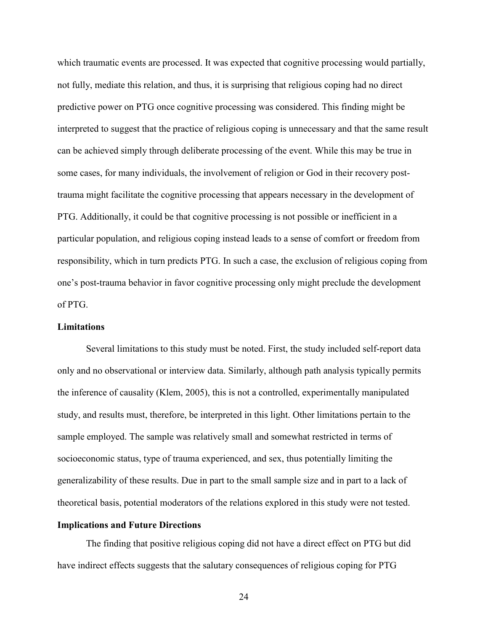which traumatic events are processed. It was expected that cognitive processing would partially, not fully, mediate this relation, and thus, it is surprising that religious coping had no direct predictive power on PTG once cognitive processing was considered. This finding might be interpreted to suggest that the practice of religious coping is unnecessary and that the same result can be achieved simply through deliberate processing of the event. While this may be true in some cases, for many individuals, the involvement of religion or God in their recovery posttrauma might facilitate the cognitive processing that appears necessary in the development of PTG. Additionally, it could be that cognitive processing is not possible or inefficient in a particular population, and religious coping instead leads to a sense of comfort or freedom from responsibility, which in turn predicts PTG. In such a case, the exclusion of religious coping from one's post-trauma behavior in favor cognitive processing only might preclude the development of PTG.

#### **Limitations**

 Several limitations to this study must be noted. First, the study included self-report data only and no observational or interview data. Similarly, although path analysis typically permits the inference of causality (Klem, 2005), this is not a controlled, experimentally manipulated study, and results must, therefore, be interpreted in this light. Other limitations pertain to the sample employed. The sample was relatively small and somewhat restricted in terms of socioeconomic status, type of trauma experienced, and sex, thus potentially limiting the generalizability of these results. Due in part to the small sample size and in part to a lack of theoretical basis, potential moderators of the relations explored in this study were not tested.

#### **Implications and Future Directions**

The finding that positive religious coping did not have a direct effect on PTG but did have indirect effects suggests that the salutary consequences of religious coping for PTG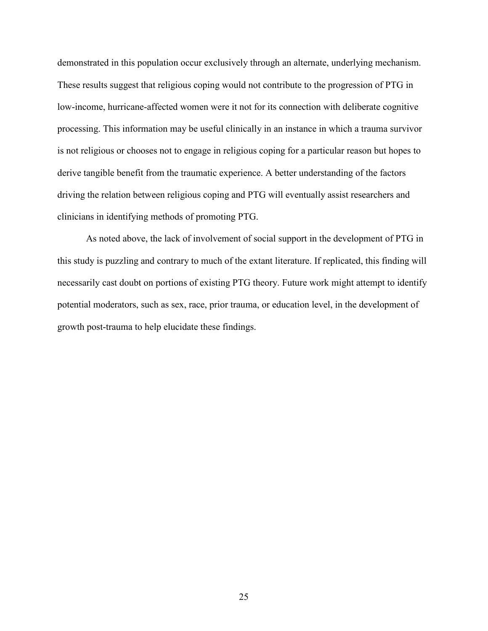demonstrated in this population occur exclusively through an alternate, underlying mechanism. These results suggest that religious coping would not contribute to the progression of PTG in low-income, hurricane-affected women were it not for its connection with deliberate cognitive processing. This information may be useful clinically in an instance in which a trauma survivor is not religious or chooses not to engage in religious coping for a particular reason but hopes to derive tangible benefit from the traumatic experience. A better understanding of the factors driving the relation between religious coping and PTG will eventually assist researchers and clinicians in identifying methods of promoting PTG.

As noted above, the lack of involvement of social support in the development of PTG in this study is puzzling and contrary to much of the extant literature. If replicated, this finding will necessarily cast doubt on portions of existing PTG theory. Future work might attempt to identify potential moderators, such as sex, race, prior trauma, or education level, in the development of growth post-trauma to help elucidate these findings.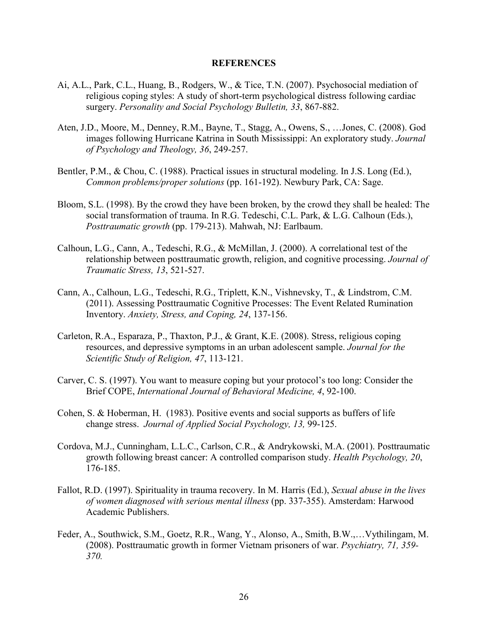#### **REFERENCES**

- Ai, A.L., Park, C.L., Huang, B., Rodgers, W., & Tice, T.N. (2007). Psychosocial mediation of religious coping styles: A study of short-term psychological distress following cardiac surgery. *Personality and Social Psychology Bulletin, 33*, 867-882.
- Aten, J.D., Moore, M., Denney, R.M., Bayne, T., Stagg, A., Owens, S., …Jones, C. (2008). God images following Hurricane Katrina in South Mississippi: An exploratory study. *Journal of Psychology and Theology, 36*, 249-257.
- Bentler, P.M., & Chou, C. (1988). Practical issues in structural modeling. In J.S. Long (Ed.), *Common problems/proper solutions* (pp. 161-192). Newbury Park, CA: Sage.
- Bloom, S.L. (1998). By the crowd they have been broken, by the crowd they shall be healed: The social transformation of trauma. In R.G. Tedeschi, C.L. Park, & L.G. Calhoun (Eds.), *Posttraumatic growth* (pp. 179-213). Mahwah, NJ: Earlbaum.
- Calhoun, L.G., Cann, A., Tedeschi, R.G., & McMillan, J. (2000). A correlational test of the relationship between posttraumatic growth, religion, and cognitive processing. *Journal of Traumatic Stress, 13*, 521-527.
- Cann, A., Calhoun, L.G., Tedeschi, R.G., Triplett, K.N., Vishnevsky, T., & Lindstrom, C.M. (2011). Assessing Posttraumatic Cognitive Processes: The Event Related Rumination Inventory. *Anxiety, Stress, and Coping, 24*, 137-156.
- Carleton, R.A., Esparaza, P., Thaxton, P.J., & Grant, K.E. (2008). Stress, religious coping resources, and depressive symptoms in an urban adolescent sample. *Journal for the Scientific Study of Religion, 47*, 113-121.
- Carver, C. S. (1997). You want to measure coping but your protocol's too long: Consider the Brief COPE, *International Journal of Behavioral Medicine, 4*, 92-100.
- Cohen, S. & Hoberman, H. (1983). Positive events and social supports as buffers of life change stress. *Journal of Applied Social Psychology, 13,* 99-125.
- Cordova, M.J., Cunningham, L.L.C., Carlson, C.R., & Andrykowski, M.A. (2001). Posttraumatic growth following breast cancer: A controlled comparison study. *Health Psychology, 20*, 176-185.
- Fallot, R.D. (1997). Spirituality in trauma recovery. In M. Harris (Ed.), *Sexual abuse in the lives of women diagnosed with serious mental illness* (pp. 337-355). Amsterdam: Harwood Academic Publishers.
- Feder, A., Southwick, S.M., Goetz, R.R., Wang, Y., Alonso, A., Smith, B.W.,…Vythilingam, M. (2008). Posttraumatic growth in former Vietnam prisoners of war. *Psychiatry, 71, 359- 370.*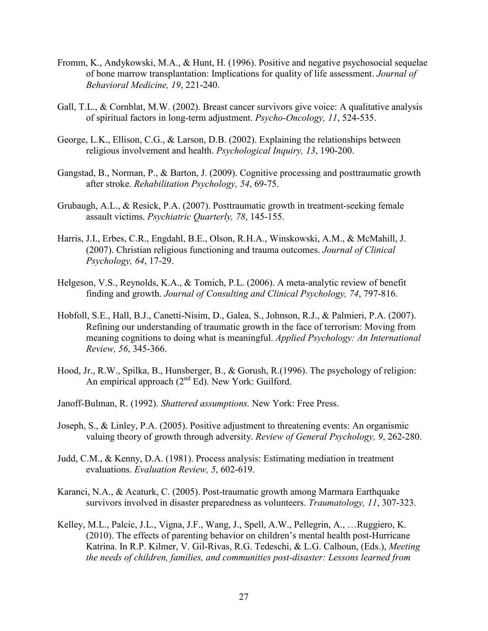- Fromm, K., Andykowski, M.A., & Hunt, H. (1996). Positive and negative psychosocial sequelae of bone marrow transplantation: Implications for quality of life assessment. *Journal of Behavioral Medicine, 19*, 221-240.
- Gall, T.L., & Cornblat, M.W. (2002). Breast cancer survivors give voice: A qualitative analysis of spiritual factors in long-term adjustment. *Psycho-Oncology, 11*, 524-535.
- George, L.K., Ellison, C.G., & Larson, D.B. (2002). Explaining the relationships between religious involvement and health. *Psychological Inquiry, 13*, 190-200.
- Gangstad, B., Norman, P., & Barton, J. (2009). Cognitive processing and posttraumatic growth after stroke. *Rehabilitation Psychology, 54*, 69-75.
- Grubaugh, A.L., & Resick, P.A. (2007). Posttraumatic growth in treatment-seeking female assault victims. *Psychiatric Quarterly, 78*, 145-155.
- Harris, J.I., Erbes, C.R., Engdahl, B.E., Olson, R.H.A., Winskowski, A.M., & McMahill, J. (2007). Christian religious functioning and trauma outcomes. *Journal of Clinical Psychology, 64*, 17-29.
- Helgeson, V.S., Reynolds, K.A., & Tomich, P.L. (2006). A meta-analytic review of benefit finding and growth. *Journal of Consulting and Clinical Psychology, 74*, 797-816.
- Hobfoll, S.E., Hall, B.J., Canetti-Nisim, D., Galea, S., Johnson, R.J., & Palmieri, P.A. (2007). Refining our understanding of traumatic growth in the face of terrorism: Moving from meaning cognitions to doing what is meaningful. *Applied Psychology: An International Review, 56*, 345-366.
- Hood, Jr., R.W., Spilka, B., Hunsberger, B., & Gorush, R.(1996). The psychology of religion: An empirical approach  $(2<sup>nd</sup> Ed)$ . New York: Guilford.
- Janoff-Bulman, R. (1992). *Shattered assumptions.* New York: Free Press.
- Joseph, S., & Linley, P.A. (2005). Positive adjustment to threatening events: An organismic valuing theory of growth through adversity. *Review of General Psychology, 9*, 262-280.
- Judd, C.M., & Kenny, D.A. (1981). Process analysis: Estimating mediation in treatment evaluations. *Evaluation Review, 5*, 602-619.
- Karanci, N.A., & Acaturk, C. (2005). Post-traumatic growth among Marmara Earthquake survivors involved in disaster preparedness as volunteers. *Traumatology, 11*, 307-323.
- Kelley, M.L., Palcic, J.L., Vigna, J.F., Wang, J., Spell, A.W., Pellegrin, A., …Ruggiero, K. (2010). The effects of parenting behavior on children's mental health post-Hurricane Katrina. In R.P. Kilmer, V. Gil-Rivas, R.G. Tedeschi, & L.G. Calhoun, (Eds.), *Meeting the needs of children, families, and communities post-disaster: Lessons learned from*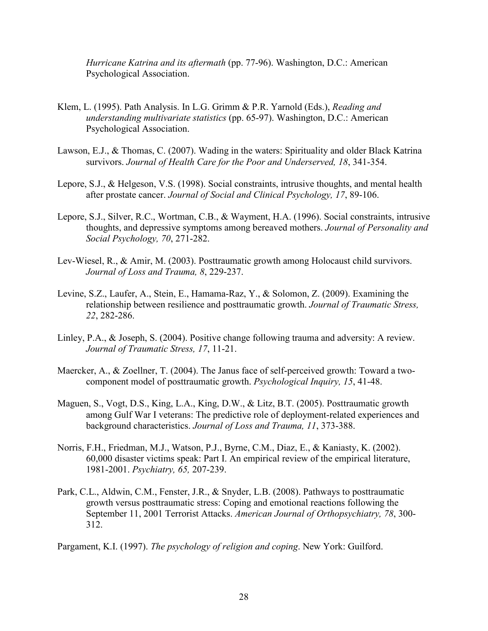*Hurricane Katrina and its aftermath* (pp. 77-96). Washington, D.C.: American Psychological Association.

- Klem, L. (1995). Path Analysis. In L.G. Grimm & P.R. Yarnold (Eds.), *Reading and understanding multivariate statistics* (pp. 65-97). Washington, D.C.: American Psychological Association.
- Lawson, E.J., & Thomas, C. (2007). Wading in the waters: Spirituality and older Black Katrina survivors. *Journal of Health Care for the Poor and Underserved, 18*, 341-354.
- Lepore, S.J., & Helgeson, V.S. (1998). Social constraints, intrusive thoughts, and mental health after prostate cancer. *Journal of Social and Clinical Psychology, 17*, 89-106.
- Lepore, S.J., Silver, R.C., Wortman, C.B., & Wayment, H.A. (1996). Social constraints, intrusive thoughts, and depressive symptoms among bereaved mothers. *Journal of Personality and Social Psychology, 70*, 271-282.
- Lev-Wiesel, R., & Amir, M. (2003). Posttraumatic growth among Holocaust child survivors. *Journal of Loss and Trauma, 8*, 229-237.
- Levine, S.Z., Laufer, A., Stein, E., Hamama-Raz, Y., & Solomon, Z. (2009). Examining the relationship between resilience and posttraumatic growth. *Journal of Traumatic Stress, 22*, 282-286.
- Linley, P.A., & Joseph, S. (2004). Positive change following trauma and adversity: A review. *Journal of Traumatic Stress, 17*, 11-21.
- Maercker, A., & Zoellner, T. (2004). The Janus face of self-perceived growth: Toward a twocomponent model of posttraumatic growth. *Psychological Inquiry, 15*, 41-48.
- Maguen, S., Vogt, D.S., King, L.A., King, D.W., & Litz, B.T. (2005). Posttraumatic growth among Gulf War I veterans: The predictive role of deployment-related experiences and background characteristics. *Journal of Loss and Trauma, 11*, 373-388.
- Norris, F.H., Friedman, M.J., Watson, P.J., Byrne, C.M., Diaz, E., & Kaniasty, K. (2002). 60,000 disaster victims speak: Part I. An empirical review of the empirical literature, 1981-2001. *Psychiatry, 65,* 207-239.
- Park, C.L., Aldwin, C.M., Fenster, J.R., & Snyder, L.B. (2008). Pathways to posttraumatic growth versus posttraumatic stress: Coping and emotional reactions following the September 11, 2001 Terrorist Attacks. *American Journal of Orthopsychiatry, 78*, 300- 312.

Pargament, K.I. (1997). *The psychology of religion and coping*. New York: Guilford.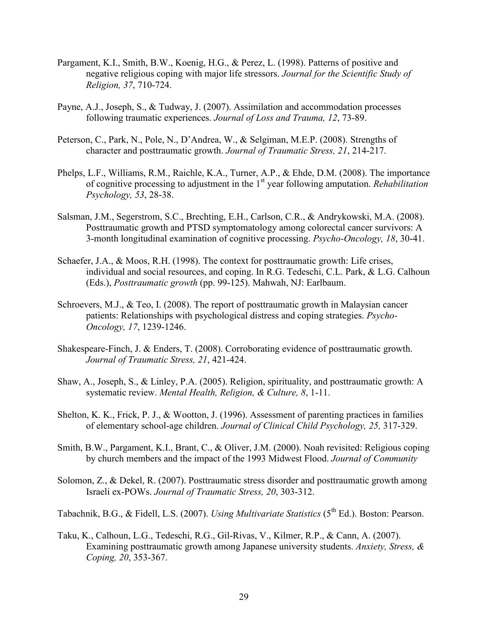- Pargament, K.I., Smith, B.W., Koenig, H.G., & Perez, L. (1998). Patterns of positive and negative religious coping with major life stressors. *Journal for the Scientific Study of Religion, 37*, 710-724.
- Payne, A.J., Joseph, S., & Tudway, J. (2007). Assimilation and accommodation processes following traumatic experiences. *Journal of Loss and Trauma, 12*, 73-89.
- Peterson, C., Park, N., Pole, N., D'Andrea, W., & Selgiman, M.E.P. (2008). Strengths of character and posttraumatic growth. *Journal of Traumatic Stress, 21*, 214-217.
- Phelps, L.F., Williams, R.M., Raichle, K.A., Turner, A.P., & Ehde, D.M. (2008). The importance of cognitive processing to adjustment in the 1st year following amputation. *Rehabilitation Psychology, 53*, 28-38.
- Salsman, J.M., Segerstrom, S.C., Brechting, E.H., Carlson, C.R., & Andrykowski, M.A. (2008). Posttraumatic growth and PTSD symptomatology among colorectal cancer survivors: A 3-month longitudinal examination of cognitive processing. *Psycho-Oncology, 18*, 30-41.
- Schaefer, J.A., & Moos, R.H. (1998). The context for posttraumatic growth: Life crises, individual and social resources, and coping. In R.G. Tedeschi, C.L. Park, & L.G. Calhoun (Eds.), *Posttraumatic growth* (pp. 99-125). Mahwah, NJ: Earlbaum.
- Schroevers, M.J., & Teo, I. (2008). The report of posttraumatic growth in Malaysian cancer patients: Relationships with psychological distress and coping strategies. *Psycho-Oncology, 17*, 1239-1246.
- Shakespeare-Finch, J. & Enders, T. (2008). Corroborating evidence of posttraumatic growth. *Journal of Traumatic Stress, 21*, 421-424.
- Shaw, A., Joseph, S., & Linley, P.A. (2005). Religion, spirituality, and posttraumatic growth: A systematic review. *Mental Health, Religion, & Culture, 8*, 1-11.
- Shelton, K. K., Frick, P. J., & Wootton, J. (1996). Assessment of parenting practices in families of elementary school-age children. *Journal of Clinical Child Psychology, 25,* 317-329.
- Smith, B.W., Pargament, K.I., Brant, C., & Oliver, J.M. (2000). Noah revisited: Religious coping by church members and the impact of the 1993 Midwest Flood. *Journal of Community*
- Solomon, Z., & Dekel, R. (2007). Posttraumatic stress disorder and posttraumatic growth among Israeli ex-POWs. *Journal of Traumatic Stress, 20*, 303-312.

Tabachnik, B.G., & Fidell, L.S. (2007). *Using Multivariate Statistics* (5<sup>th</sup> Ed.). Boston: Pearson.

Taku, K., Calhoun, L.G., Tedeschi, R.G., Gil-Rivas, V., Kilmer, R.P., & Cann, A. (2007). Examining posttraumatic growth among Japanese university students. *Anxiety, Stress, & Coping, 20*, 353-367.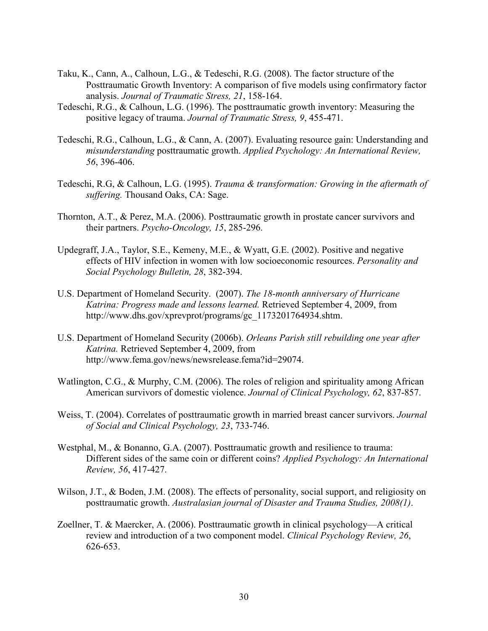- Taku, K., Cann, A., Calhoun, L.G., & Tedeschi, R.G. (2008). The factor structure of the Posttraumatic Growth Inventory: A comparison of five models using confirmatory factor analysis. *Journal of Traumatic Stress, 21*, 158-164.
- Tedeschi, R.G., & Calhoun, L.G. (1996). The posttraumatic growth inventory: Measuring the positive legacy of trauma. *Journal of Traumatic Stress, 9*, 455-471.
- Tedeschi, R.G., Calhoun, L.G., & Cann, A. (2007). Evaluating resource gain: Understanding and *misunderstanding* posttraumatic growth. *Applied Psychology: An International Review, 56*, 396-406.
- Tedeschi, R.G, & Calhoun, L.G. (1995). *Trauma & transformation: Growing in the aftermath of suffering.* Thousand Oaks, CA: Sage.
- Thornton, A.T., & Perez, M.A. (2006). Posttraumatic growth in prostate cancer survivors and their partners. *Psycho-Oncology, 15*, 285-296.
- Updegraff, J.A., Taylor, S.E., Kemeny, M.E., & Wyatt, G.E. (2002). Positive and negative effects of HIV infection in women with low socioeconomic resources. *Personality and Social Psychology Bulletin, 28*, 382-394.
- U.S. Department of Homeland Security. (2007). *The 18-month anniversary of Hurricane Katrina: Progress made and lessons learned.* Retrieved September 4, 2009, from http://www.dhs.gov/xprevprot/programs/gc\_1173201764934.shtm.
- U.S. Department of Homeland Security (2006b). *Orleans Parish still rebuilding one year after Katrina.* Retrieved September 4, 2009, from http://www.fema.gov/news/newsrelease.fema?id=29074.
- Watlington, C.G., & Murphy, C.M. (2006). The roles of religion and spirituality among African American survivors of domestic violence. *Journal of Clinical Psychology, 62*, 837-857.
- Weiss, T. (2004). Correlates of posttraumatic growth in married breast cancer survivors. *Journal of Social and Clinical Psychology, 23*, 733-746.
- Westphal, M., & Bonanno, G.A. (2007). Posttraumatic growth and resilience to trauma: Different sides of the same coin or different coins? *Applied Psychology: An International Review, 56*, 417-427.
- Wilson, J.T., & Boden, J.M. (2008). The effects of personality, social support, and religiosity on posttraumatic growth. *Australasian journal of Disaster and Trauma Studies, 2008(1)*.
- Zoellner, T. & Maercker, A. (2006). Posttraumatic growth in clinical psychology—A critical review and introduction of a two component model. *Clinical Psychology Review, 26*, 626-653.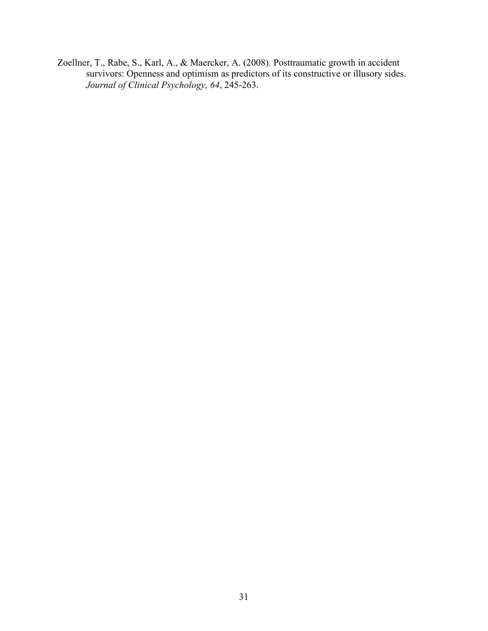Zoellner, T., Rabe, S., Karl, A., & Maercker, A. (2008). Posttraumatic growth in accident survivors: Openness and optimism as predictors of its constructive or illusory sides. *Journal of Clinical Psychology, 64*, 245-263.